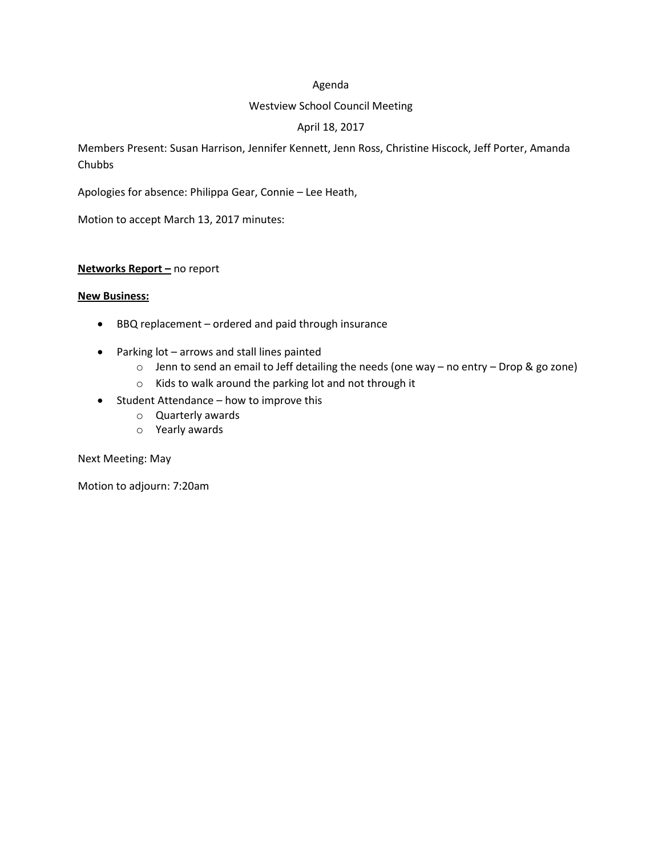#### Agenda

#### Westview School Council Meeting

# April 18, 2017

Members Present: Susan Harrison, Jennifer Kennett, Jenn Ross, Christine Hiscock, Jeff Porter, Amanda Chubbs

Apologies for absence: Philippa Gear, Connie – Lee Heath,

Motion to accept March 13, 2017 minutes:

#### **Networks Report –** no report

#### **New Business:**

- BBQ replacement ordered and paid through insurance
- Parking lot arrows and stall lines painted
	- o Jenn to send an email to Jeff detailing the needs (one way no entry Drop & go zone)
	- o Kids to walk around the parking lot and not through it
- Student Attendance how to improve this
	- o Quarterly awards
	- o Yearly awards

Next Meeting: May

Motion to adjourn: 7:20am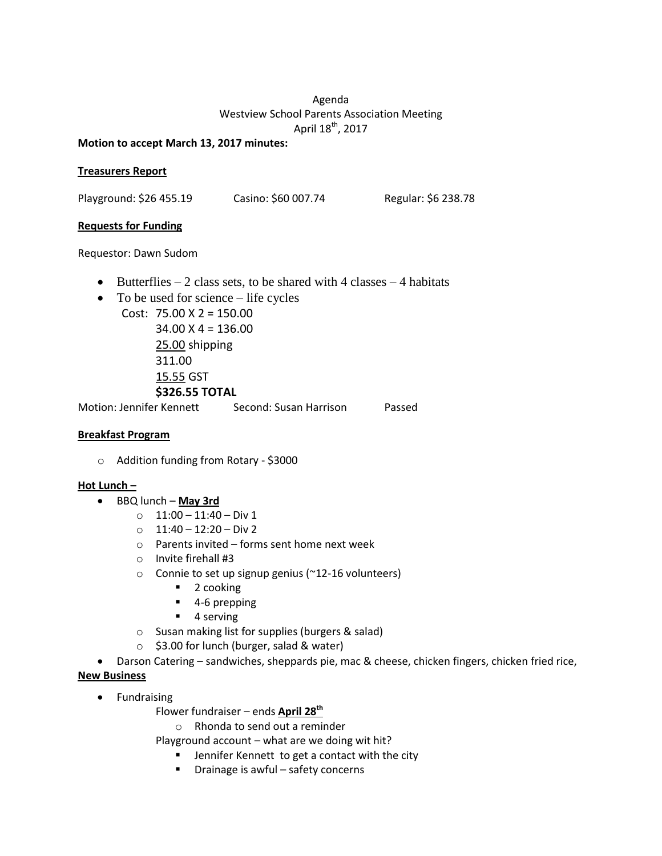# Agenda Westview School Parents Association Meeting April 18<sup>th</sup>, 2017

#### **Motion to accept March 13, 2017 minutes:**

#### **Treasurers Report**

Playground: \$26 455.19 Casino: \$60 007.74 Regular: \$6 238.78

## **Requests for Funding**

Requestor: Dawn Sudom

- $\bullet$  Butterflies 2 class sets, to be shared with 4 classes 4 habitats
- To be used for science life cycles
	- Cost: 75.00 X 2 = 150.00 34.00 X 4 = 136.00 25.00 shipping 311.00 15.55 GST **\$326.55 TOTAL**

Motion: Jennifer Kennett Second: Susan Harrison Passed

## **Breakfast Program**

o Addition funding from Rotary - \$3000

## **Hot Lunch –**

- BBQ lunch **May 3rd**
	- $\circ$  11:00 11:40 Div 1
	- $O$  11:40 12:20 Div 2
	- o Parents invited forms sent home next week
	- o Invite firehall #3
	- o Connie to set up signup genius (~12-16 volunteers)
		- 2 cooking
		- 4-6 prepping
		- **4** serving
	- o Susan making list for supplies (burgers & salad)
	- o \$3.00 for lunch (burger, salad & water)
- Darson Catering sandwiches, sheppards pie, mac & cheese, chicken fingers, chicken fried rice,

## **New Business**

- **•** Fundraising
	- Flower fundraiser ends **April 28th**
		- o Rhonda to send out a reminder
	- Playground account what are we doing wit hit?
		- **EXTERN** Jennifer Kennett to get a contact with the city
		- Drainage is awful safety concerns